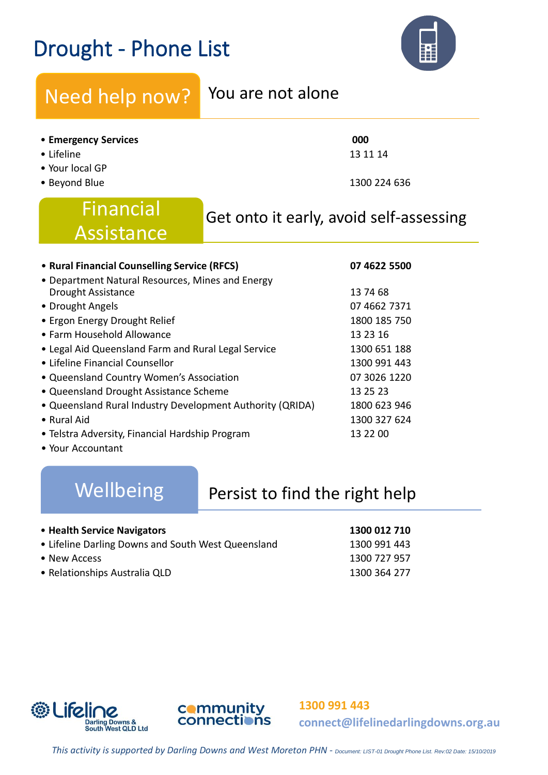# Drought - Phone List



## Need help now? You are not alone

### • **Emergency Services 000**

- Lifeline  $13\ 11\ 14$
- Your local GP
- Beyond Blue 1300 224 636

# Financial Get onto it early, avoid self-assessing Assistance

| • Rural Financial Counselling Service (RFCS)              | 07 4622 5500 |  |
|-----------------------------------------------------------|--------------|--|
| • Department Natural Resources, Mines and Energy          |              |  |
| Drought Assistance                                        | 13 74 68     |  |
| • Drought Angels                                          | 07 4662 7371 |  |
| • Ergon Energy Drought Relief                             | 1800 185 750 |  |
| • Farm Household Allowance                                | 13 23 16     |  |
| • Legal Aid Queensland Farm and Rural Legal Service       | 1300 651 188 |  |
| • Lifeline Financial Counsellor                           | 1300 991 443 |  |
| • Queensland Country Women's Association                  | 07 3026 1220 |  |
| • Queensland Drought Assistance Scheme                    | 13 25 23     |  |
| • Queensland Rural Industry Development Authority (QRIDA) | 1800 623 946 |  |
| • Rural Aid                                               | 1300 327 624 |  |
| • Telstra Adversity, Financial Hardship Program           | 13 22 00     |  |
|                                                           |              |  |

• Your Accountant

### Wellbeing Persist to find the right help

| • Health Service Navigators                        | 1300 012 710 |
|----------------------------------------------------|--------------|
| • Lifeline Darling Downs and South West Queensland | 1300 991 443 |
| • New Access                                       | 1300 727 957 |
| • Relationships Australia QLD                      | 1300 364 277 |





**1300 991 443 connect@lifelinedarlingdowns.org.au**